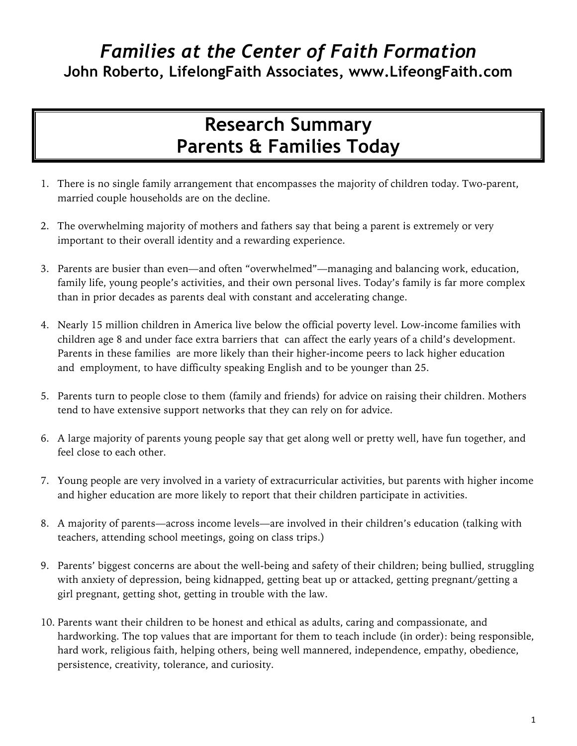# *Families at the Center of Faith Formation* **John Roberto, LifelongFaith Associates, www.LifeongFaith.com**

# **Research Summary Parents & Families Today**

- 1. There is no single family arrangement that encompasses the majority of children today. Two-parent, married couple households are on the decline.
- 2. The overwhelming majority of mothers and fathers say that being a parent is extremely or very important to their overall identity and a rewarding experience.
- 3. Parents are busier than even—and often "overwhelmed"—managing and balancing work, education, family life, young people's activities, and their own personal lives. Today's family is far more complex than in prior decades as parents deal with constant and accelerating change.
- 4. Nearly 15 million children in America live below the official poverty level. Low-income families with children age 8 and under face extra barriers that can affect the early years of a child's development. Parents in these families are more likely than their higher-income peers to lack higher education and employment, to have difficulty speaking English and to be younger than 25.
- 5. Parents turn to people close to them (family and friends) for advice on raising their children. Mothers tend to have extensive support networks that they can rely on for advice.
- 6. A large majority of parents young people say that get along well or pretty well, have fun together, and feel close to each other.
- 7. Young people are very involved in a variety of extracurricular activities, but parents with higher income and higher education are more likely to report that their children participate in activities.
- 8. A majority of parents—across income levels—are involved in their children's education (talking with teachers, attending school meetings, going on class trips.)
- 9. Parents' biggest concerns are about the well-being and safety of their children; being bullied, struggling with anxiety of depression, being kidnapped, getting beat up or attacked, getting pregnant/getting a girl pregnant, getting shot, getting in trouble with the law.
- 10. Parents want their children to be honest and ethical as adults, caring and compassionate, and hardworking. The top values that are important for them to teach include (in order): being responsible, hard work, religious faith, helping others, being well mannered, independence, empathy, obedience, persistence, creativity, tolerance, and curiosity.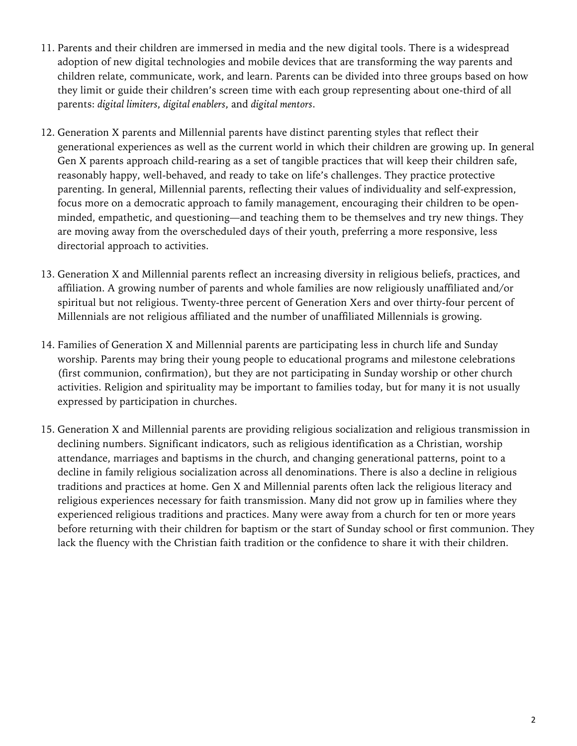- 11. Parents and their children are immersed in media and the new digital tools. There is a widespread adoption of new digital technologies and mobile devices that are transforming the way parents and children relate, communicate, work, and learn. Parents can be divided into three groups based on how they limit or guide their children's screen time with each group representing about one-third of all parents: *digital limiters*, *digital enablers*, and *digital mentors*.
- 12. Generation X parents and Millennial parents have distinct parenting styles that reflect their generational experiences as well as the current world in which their children are growing up. In general Gen X parents approach child-rearing as a set of tangible practices that will keep their children safe, reasonably happy, well-behaved, and ready to take on life's challenges. They practice protective parenting. In general, Millennial parents, reflecting their values of individuality and self-expression, focus more on a democratic approach to family management, encouraging their children to be openminded, empathetic, and questioning—and teaching them to be themselves and try new things. They are moving away from the overscheduled days of their youth, preferring a more responsive, less directorial approach to activities.
- 13. Generation X and Millennial parents reflect an increasing diversity in religious beliefs, practices, and affiliation. A growing number of parents and whole families are now religiously unaffiliated and/or spiritual but not religious. Twenty-three percent of Generation Xers and over thirty-four percent of Millennials are not religious affiliated and the number of unaffiliated Millennials is growing.
- 14. Families of Generation X and Millennial parents are participating less in church life and Sunday worship. Parents may bring their young people to educational programs and milestone celebrations (first communion, confirmation), but they are not participating in Sunday worship or other church activities. Religion and spirituality may be important to families today, but for many it is not usually expressed by participation in churches.
- 15. Generation X and Millennial parents are providing religious socialization and religious transmission in declining numbers. Significant indicators, such as religious identification as a Christian, worship attendance, marriages and baptisms in the church, and changing generational patterns, point to a decline in family religious socialization across all denominations. There is also a decline in religious traditions and practices at home. Gen X and Millennial parents often lack the religious literacy and religious experiences necessary for faith transmission. Many did not grow up in families where they experienced religious traditions and practices. Many were away from a church for ten or more years before returning with their children for baptism or the start of Sunday school or first communion. They lack the fluency with the Christian faith tradition or the confidence to share it with their children.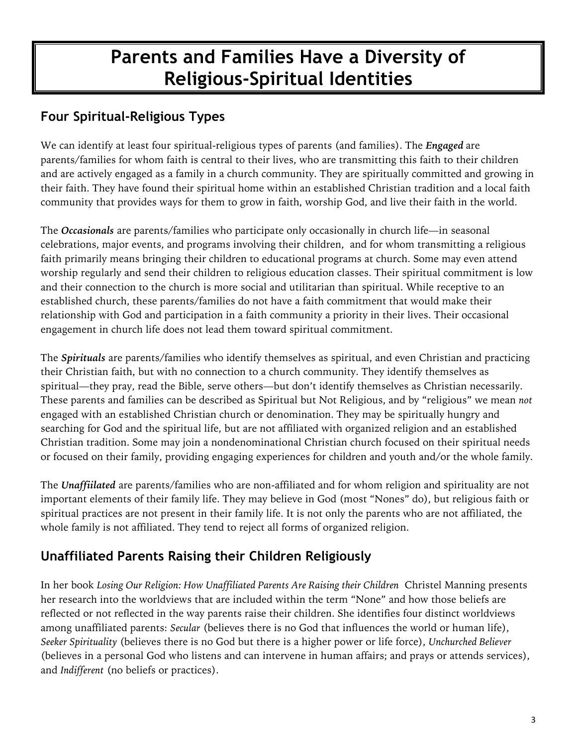# **Parents and Families Have a Diversity of Religious-Spiritual Identities**

### **Four Spiritual-Religious Types**

We can identify at least four spiritual-religious types of parents (and families). The *Engaged* are parents/families for whom faith is central to their lives, who are transmitting this faith to their children and are actively engaged as a family in a church community. They are spiritually committed and growing in their faith. They have found their spiritual home within an established Christian tradition and a local faith community that provides ways for them to grow in faith, worship God, and live their faith in the world.

The *Occasionals* are parents/families who participate only occasionally in church life—in seasonal celebrations, major events, and programs involving their children, and for whom transmitting a religious faith primarily means bringing their children to educational programs at church. Some may even attend worship regularly and send their children to religious education classes. Their spiritual commitment is low and their connection to the church is more social and utilitarian than spiritual. While receptive to an established church, these parents/families do not have a faith commitment that would make their relationship with God and participation in a faith community a priority in their lives. Their occasional engagement in church life does not lead them toward spiritual commitment.

The *Spirituals* are parents/families who identify themselves as spiritual, and even Christian and practicing their Christian faith, but with no connection to a church community. They identify themselves as spiritual—they pray, read the Bible, serve others—but don't identify themselves as Christian necessarily. These parents and families can be described as Spiritual but Not Religious, and by "religious" we mean *not* engaged with an established Christian church or denomination. They may be spiritually hungry and searching for God and the spiritual life, but are not affiliated with organized religion and an established Christian tradition. Some may join a nondenominational Christian church focused on their spiritual needs or focused on their family, providing engaging experiences for children and youth and/or the whole family.

The *Unaffiilated* are parents/families who are non-affiliated and for whom religion and spirituality are not important elements of their family life. They may believe in God (most "Nones" do), but religious faith or spiritual practices are not present in their family life. It is not only the parents who are not affiliated, the whole family is not affiliated. They tend to reject all forms of organized religion.

# **Unaffiliated Parents Raising their Children Religiously**

In her book *Losing Our Religion: How Unaffiliated Parents Are Raising their Children* Christel Manning presents her research into the worldviews that are included within the term "None" and how those beliefs are reflected or not reflected in the way parents raise their children. She identifies four distinct worldviews among unaffiliated parents: *Secular* (believes there is no God that influences the world or human life), *Seeker Spirituality* (believes there is no God but there is a higher power or life force), *Unchurched Believer* (believes in a personal God who listens and can intervene in human affairs; and prays or attends services), and *Indifferent* (no beliefs or practices).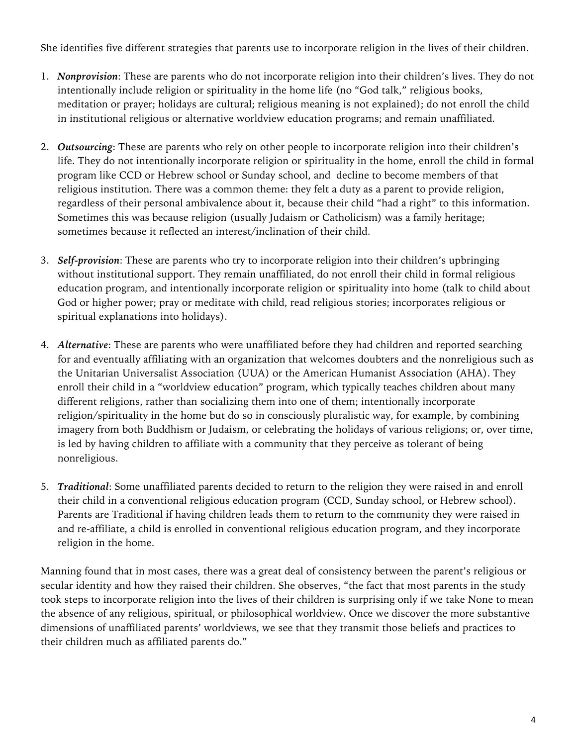She identifies five different strategies that parents use to incorporate religion in the lives of their children.

- 1. *Nonprovision*: These are parents who do not incorporate religion into their children's lives. They do not intentionally include religion or spirituality in the home life (no "God talk," religious books, meditation or prayer; holidays are cultural; religious meaning is not explained); do not enroll the child in institutional religious or alternative worldview education programs; and remain unaffiliated.
- 2. *Outsourcing*: These are parents who rely on other people to incorporate religion into their children's life. They do not intentionally incorporate religion or spirituality in the home, enroll the child in formal program like CCD or Hebrew school or Sunday school, and decline to become members of that religious institution. There was a common theme: they felt a duty as a parent to provide religion, regardless of their personal ambivalence about it, because their child "had a right" to this information. Sometimes this was because religion (usually Judaism or Catholicism) was a family heritage; sometimes because it reflected an interest/inclination of their child.
- 3. *Self-provision*: These are parents who try to incorporate religion into their children's upbringing without institutional support. They remain unaffiliated, do not enroll their child in formal religious education program, and intentionally incorporate religion or spirituality into home (talk to child about God or higher power; pray or meditate with child, read religious stories; incorporates religious or spiritual explanations into holidays).
- 4. *Alternative*: These are parents who were unaffiliated before they had children and reported searching for and eventually affiliating with an organization that welcomes doubters and the nonreligious such as the Unitarian Universalist Association (UUA) or the American Humanist Association (AHA). They enroll their child in a "worldview education" program, which typically teaches children about many different religions, rather than socializing them into one of them; intentionally incorporate religion/spirituality in the home but do so in consciously pluralistic way, for example, by combining imagery from both Buddhism or Judaism, or celebrating the holidays of various religions; or, over time, is led by having children to affiliate with a community that they perceive as tolerant of being nonreligious.
- 5. *Traditional*: Some unaffiliated parents decided to return to the religion they were raised in and enroll their child in a conventional religious education program (CCD, Sunday school, or Hebrew school). Parents are Traditional if having children leads them to return to the community they were raised in and re-affiliate, a child is enrolled in conventional religious education program, and they incorporate religion in the home.

Manning found that in most cases, there was a great deal of consistency between the parent's religious or secular identity and how they raised their children. She observes, "the fact that most parents in the study took steps to incorporate religion into the lives of their children is surprising only if we take None to mean the absence of any religious, spiritual, or philosophical worldview. Once we discover the more substantive dimensions of unaffiliated parents' worldviews, we see that they transmit those beliefs and practices to their children much as affiliated parents do."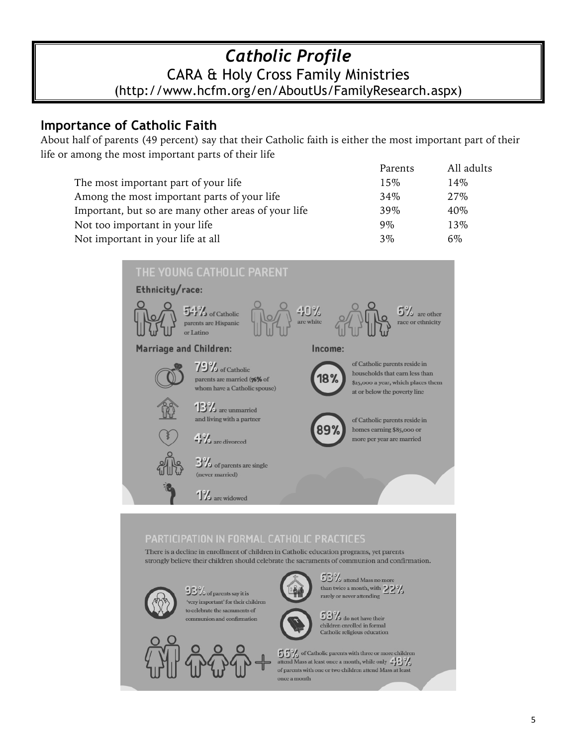# *Catholic Profile* CARA & Holy Cross Family Ministries (http://www.hcfm.org/en/AboutUs/FamilyResearch.aspx)

### **Importance of Catholic Faith**

About half of parents (49 percent) say that their Catholic faith is either the most important part of their life or among the most important parts of their life

|                                                     | Parents | All adults |
|-----------------------------------------------------|---------|------------|
| The most important part of your life                | 15%     | 14%        |
| Among the most important parts of your life         | 34%     | 27\%       |
| Important, but so are many other areas of your life | 39%     | $40\%$     |
| Not too important in your life                      | $9\%$   | 13\%       |
| Not important in your life at all                   | $3\%$   | 6%         |



#### PARTICIPATION IN FORMAL CATHOLIC PRACTICES

There is a decline in enrollment of children in Catholic education programs, yet parents strongly believe their children should celebrate the sacraments of communion and confirmation.



 $93\%$  of parents say it is 'very important' for their children to celebrate the sacraments of communion and confirmation



53% attend Mass no more  $\frac{1}{2}$  3 attend Mass no more<br>than twice a month, with  $\frac{2}{2}$  % rarely or never attending

53% do not have their children enrolled in formal<br>Catholic religious education

55% of Catholic parents with three or more children attend Mass at least once a month, while only  $\frac{413}{12}$ % of parents with one or two children attend Mass at least once a month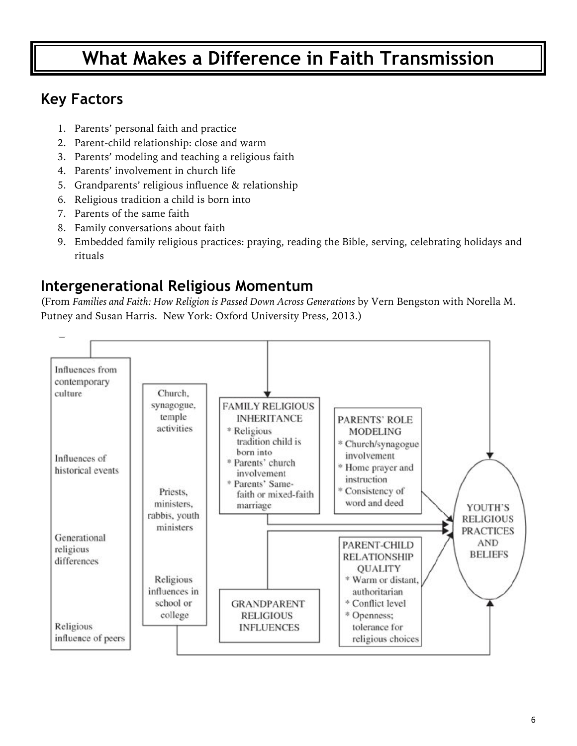# **What Makes a Difference in Faith Transmission**

# **Key Factors**

- 1. Parents' personal faith and practice
- 2. Parent-child relationship: close and warm
- 3. Parents' modeling and teaching a religious faith
- 4. Parents' involvement in church life
- 5. Grandparents' religious influence & relationship
- 6. Religious tradition a child is born into
- 7. Parents of the same faith
- 8. Family conversations about faith
- 9. Embedded family religious practices: praying, reading the Bible, serving, celebrating holidays and rituals

## **Intergenerational Religious Momentum**

(From *Families and Faith: How Religion is Passed Down Across Generations* by Vern Bengston with Norella M. Putney and Susan Harris. New York: Oxford University Press, 2013.)

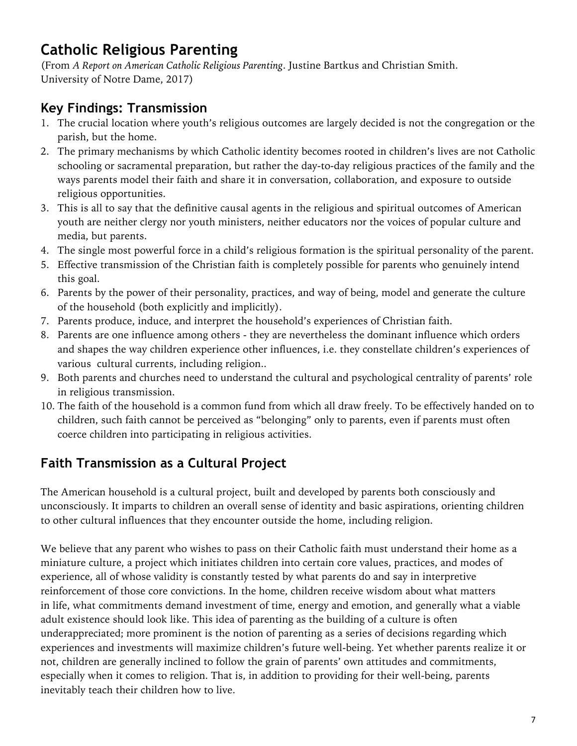# **Catholic Religious Parenting**

(From *A Report on American Catholic Religious Parenting*. Justine Bartkus and Christian Smith. University of Notre Dame, 2017)

### **Key Findings: Transmission**

- 1. The crucial location where youth's religious outcomes are largely decided is not the congregation or the parish, but the home.
- 2. The primary mechanisms by which Catholic identity becomes rooted in children's lives are not Catholic schooling or sacramental preparation, but rather the day-to-day religious practices of the family and the ways parents model their faith and share it in conversation, collaboration, and exposure to outside religious opportunities.
- 3. This is all to say that the definitive causal agents in the religious and spiritual outcomes of American youth are neither clergy nor youth ministers, neither educators nor the voices of popular culture and media, but parents.
- 4. The single most powerful force in a child's religious formation is the spiritual personality of the parent.
- 5. Effective transmission of the Christian faith is completely possible for parents who genuinely intend this goal.
- 6. Parents by the power of their personality, practices, and way of being, model and generate the culture of the household (both explicitly and implicitly).
- 7. Parents produce, induce, and interpret the household's experiences of Christian faith.
- 8. Parents are one influence among others they are nevertheless the dominant influence which orders and shapes the way children experience other influences, i.e. they constellate children's experiences of various cultural currents, including religion..
- 9. Both parents and churches need to understand the cultural and psychological centrality of parents' role in religious transmission.
- 10. The faith of the household is a common fund from which all draw freely. To be effectively handed on to children, such faith cannot be perceived as "belonging" only to parents, even if parents must often coerce children into participating in religious activities.

# **Faith Transmission as a Cultural Project**

The American household is a cultural project, built and developed by parents both consciously and unconsciously. It imparts to children an overall sense of identity and basic aspirations, orienting children to other cultural influences that they encounter outside the home, including religion.

We believe that any parent who wishes to pass on their Catholic faith must understand their home as a miniature culture, a project which initiates children into certain core values, practices, and modes of experience, all of whose validity is constantly tested by what parents do and say in interpretive reinforcement of those core convictions. In the home, children receive wisdom about what matters in life, what commitments demand investment of time, energy and emotion, and generally what a viable adult existence should look like. This idea of parenting as the building of a culture is often underappreciated; more prominent is the notion of parenting as a series of decisions regarding which experiences and investments will maximize children's future well-being. Yet whether parents realize it or not, children are generally inclined to follow the grain of parents' own attitudes and commitments, especially when it comes to religion. That is, in addition to providing for their well-being, parents inevitably teach their children how to live.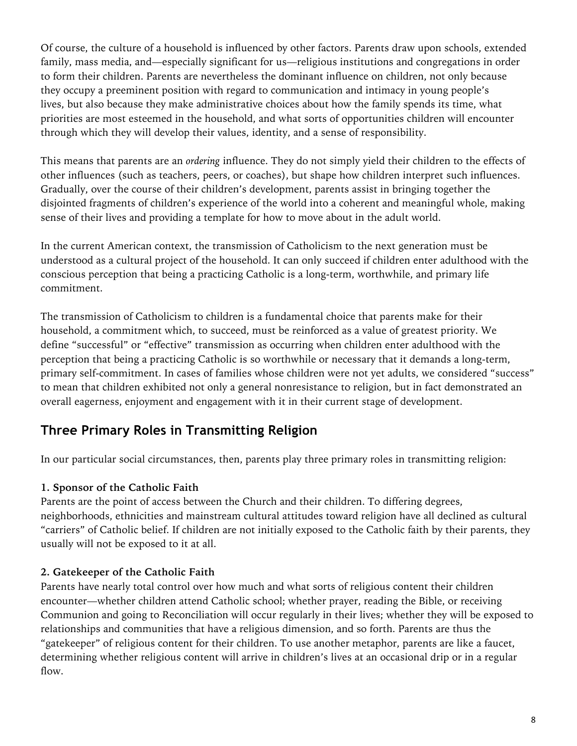Of course, the culture of a household is influenced by other factors. Parents draw upon schools, extended family, mass media, and—especially significant for us—religious institutions and congregations in order to form their children. Parents are nevertheless the dominant influence on children, not only because they occupy a preeminent position with regard to communication and intimacy in young people's lives, but also because they make administrative choices about how the family spends its time, what priorities are most esteemed in the household, and what sorts of opportunities children will encounter through which they will develop their values, identity, and a sense of responsibility.

This means that parents are an *ordering* influence. They do not simply yield their children to the effects of other influences (such as teachers, peers, or coaches), but shape how children interpret such influences. Gradually, over the course of their children's development, parents assist in bringing together the disjointed fragments of children's experience of the world into a coherent and meaningful whole, making sense of their lives and providing a template for how to move about in the adult world.

In the current American context, the transmission of Catholicism to the next generation must be understood as a cultural project of the household. It can only succeed if children enter adulthood with the conscious perception that being a practicing Catholic is a long-term, worthwhile, and primary life commitment.

The transmission of Catholicism to children is a fundamental choice that parents make for their household, a commitment which, to succeed, must be reinforced as a value of greatest priority. We define "successful" or "effective" transmission as occurring when children enter adulthood with the perception that being a practicing Catholic is so worthwhile or necessary that it demands a long-term, primary self-commitment. In cases of families whose children were not yet adults, we considered "success" to mean that children exhibited not only a general nonresistance to religion, but in fact demonstrated an overall eagerness, enjoyment and engagement with it in their current stage of development.

### **Three Primary Roles in Transmitting Religion**

In our particular social circumstances, then, parents play three primary roles in transmitting religion:

#### **1. Sponsor of the Catholic Faith**

Parents are the point of access between the Church and their children. To differing degrees, neighborhoods, ethnicities and mainstream cultural attitudes toward religion have all declined as cultural "carriers" of Catholic belief. If children are not initially exposed to the Catholic faith by their parents, they usually will not be exposed to it at all.

#### **2. Gatekeeper of the Catholic Faith**

Parents have nearly total control over how much and what sorts of religious content their children encounter—whether children attend Catholic school; whether prayer, reading the Bible, or receiving Communion and going to Reconciliation will occur regularly in their lives; whether they will be exposed to relationships and communities that have a religious dimension, and so forth. Parents are thus the "gatekeeper" of religious content for their children. To use another metaphor, parents are like a faucet, determining whether religious content will arrive in children's lives at an occasional drip or in a regular flow.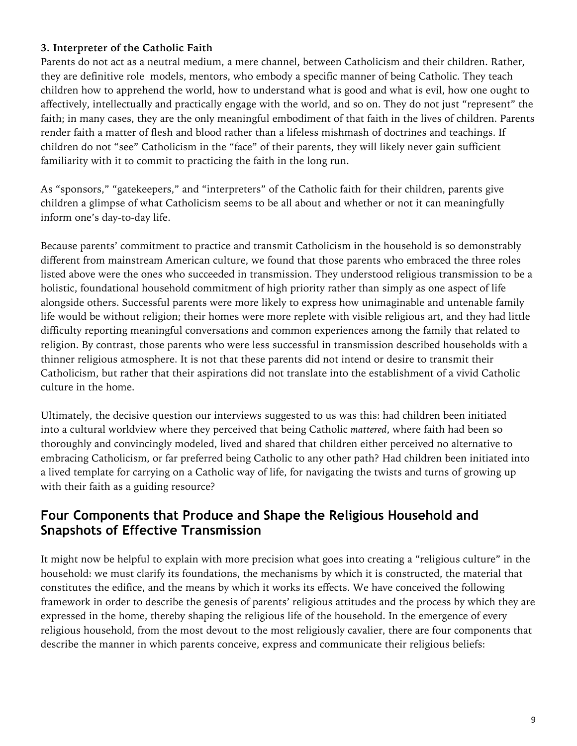#### **3. Interpreter of the Catholic Faith**

Parents do not act as a neutral medium, a mere channel, between Catholicism and their children. Rather, they are definitive role models, mentors, who embody a specific manner of being Catholic. They teach children how to apprehend the world, how to understand what is good and what is evil, how one ought to affectively, intellectually and practically engage with the world, and so on. They do not just "represent" the faith; in many cases, they are the only meaningful embodiment of that faith in the lives of children. Parents render faith a matter of flesh and blood rather than a lifeless mishmash of doctrines and teachings. If children do not "see" Catholicism in the "face" of their parents, they will likely never gain sufficient familiarity with it to commit to practicing the faith in the long run.

As "sponsors," "gatekeepers," and "interpreters" of the Catholic faith for their children, parents give children a glimpse of what Catholicism seems to be all about and whether or not it can meaningfully inform one's day-to-day life.

Because parents' commitment to practice and transmit Catholicism in the household is so demonstrably different from mainstream American culture, we found that those parents who embraced the three roles listed above were the ones who succeeded in transmission. They understood religious transmission to be a holistic, foundational household commitment of high priority rather than simply as one aspect of life alongside others. Successful parents were more likely to express how unimaginable and untenable family life would be without religion; their homes were more replete with visible religious art, and they had little difficulty reporting meaningful conversations and common experiences among the family that related to religion. By contrast, those parents who were less successful in transmission described households with a thinner religious atmosphere. It is not that these parents did not intend or desire to transmit their Catholicism, but rather that their aspirations did not translate into the establishment of a vivid Catholic culture in the home.

Ultimately, the decisive question our interviews suggested to us was this: had children been initiated into a cultural worldview where they perceived that being Catholic *mattered*, where faith had been so thoroughly and convincingly modeled, lived and shared that children either perceived no alternative to embracing Catholicism, or far preferred being Catholic to any other path? Had children been initiated into a lived template for carrying on a Catholic way of life, for navigating the twists and turns of growing up with their faith as a guiding resource?

#### **Four Components that Produce and Shape the Religious Household and Snapshots of Effective Transmission**

It might now be helpful to explain with more precision what goes into creating a "religious culture" in the household: we must clarify its foundations, the mechanisms by which it is constructed, the material that constitutes the edifice, and the means by which it works its effects. We have conceived the following framework in order to describe the genesis of parents' religious attitudes and the process by which they are expressed in the home, thereby shaping the religious life of the household. In the emergence of every religious household, from the most devout to the most religiously cavalier, there are four components that describe the manner in which parents conceive, express and communicate their religious beliefs: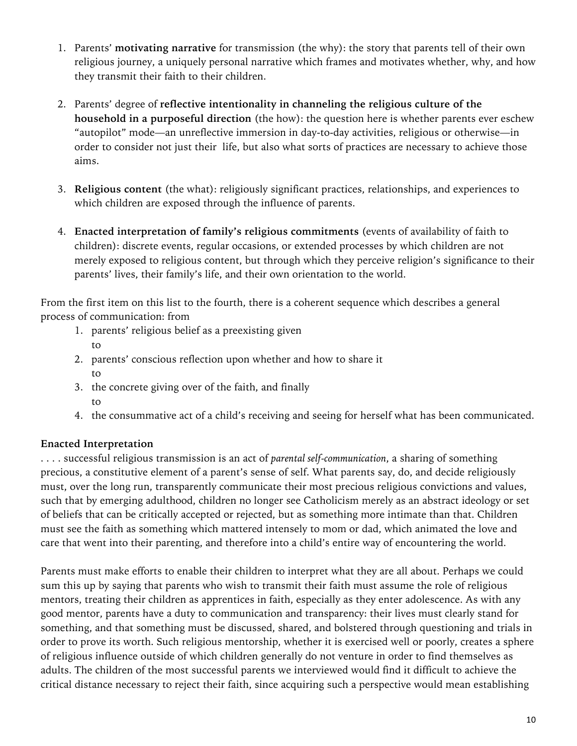- 1. Parents' **motivating narrative** for transmission (the why): the story that parents tell of their own religious journey, a uniquely personal narrative which frames and motivates whether, why, and how they transmit their faith to their children.
- 2. Parents' degree of **reflective intentionality in channeling the religious culture of the household in a purposeful direction** (the how): the question here is whether parents ever eschew "autopilot" mode—an unreflective immersion in day-to-day activities, religious or otherwise—in order to consider not just their life, but also what sorts of practices are necessary to achieve those aims.
- 3. **Religious content** (the what): religiously significant practices, relationships, and experiences to which children are exposed through the influence of parents.
- 4. **Enacted interpretation of family's religious commitments** (events of availability of faith to children): discrete events, regular occasions, or extended processes by which children are not merely exposed to religious content, but through which they perceive religion's significance to their parents' lives, their family's life, and their own orientation to the world.

From the first item on this list to the fourth, there is a coherent sequence which describes a general process of communication: from

- 1. parents' religious belief as a preexisting given to
- 2. parents' conscious reflection upon whether and how to share it to
- 3. the concrete giving over of the faith, and finally to
- 4. the consummative act of a child's receiving and seeing for herself what has been communicated.

#### **Enacted Interpretation**

. . . . successful religious transmission is an act of *parental self-communication*, a sharing of something precious, a constitutive element of a parent's sense of self. What parents say, do, and decide religiously must, over the long run, transparently communicate their most precious religious convictions and values, such that by emerging adulthood, children no longer see Catholicism merely as an abstract ideology or set of beliefs that can be critically accepted or rejected, but as something more intimate than that. Children must see the faith as something which mattered intensely to mom or dad, which animated the love and care that went into their parenting, and therefore into a child's entire way of encountering the world.

Parents must make efforts to enable their children to interpret what they are all about. Perhaps we could sum this up by saying that parents who wish to transmit their faith must assume the role of religious mentors, treating their children as apprentices in faith, especially as they enter adolescence. As with any good mentor, parents have a duty to communication and transparency: their lives must clearly stand for something, and that something must be discussed, shared, and bolstered through questioning and trials in order to prove its worth. Such religious mentorship, whether it is exercised well or poorly, creates a sphere of religious influence outside of which children generally do not venture in order to find themselves as adults. The children of the most successful parents we interviewed would find it difficult to achieve the critical distance necessary to reject their faith, since acquiring such a perspective would mean establishing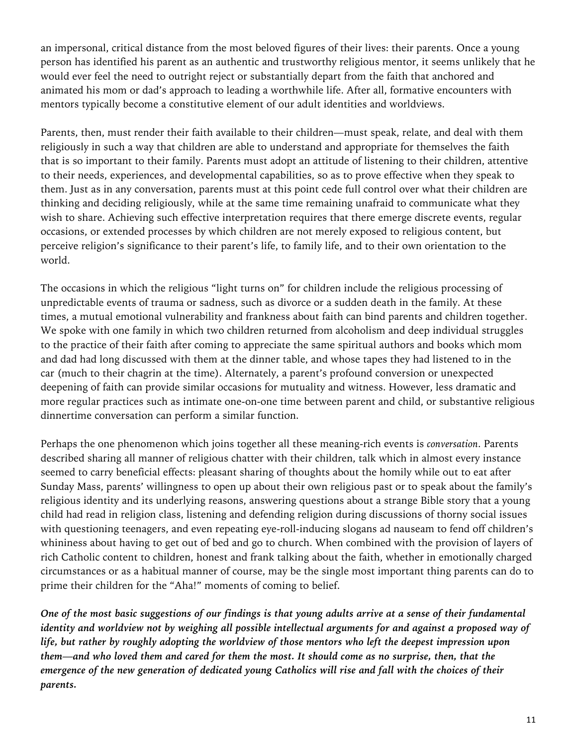an impersonal, critical distance from the most beloved figures of their lives: their parents. Once a young person has identified his parent as an authentic and trustworthy religious mentor, it seems unlikely that he would ever feel the need to outright reject or substantially depart from the faith that anchored and animated his mom or dad's approach to leading a worthwhile life. After all, formative encounters with mentors typically become a constitutive element of our adult identities and worldviews.

Parents, then, must render their faith available to their children—must speak, relate, and deal with them religiously in such a way that children are able to understand and appropriate for themselves the faith that is so important to their family. Parents must adopt an attitude of listening to their children, attentive to their needs, experiences, and developmental capabilities, so as to prove effective when they speak to them. Just as in any conversation, parents must at this point cede full control over what their children are thinking and deciding religiously, while at the same time remaining unafraid to communicate what they wish to share. Achieving such effective interpretation requires that there emerge discrete events, regular occasions, or extended processes by which children are not merely exposed to religious content, but perceive religion's significance to their parent's life, to family life, and to their own orientation to the world.

The occasions in which the religious "light turns on" for children include the religious processing of unpredictable events of trauma or sadness, such as divorce or a sudden death in the family. At these times, a mutual emotional vulnerability and frankness about faith can bind parents and children together. We spoke with one family in which two children returned from alcoholism and deep individual struggles to the practice of their faith after coming to appreciate the same spiritual authors and books which mom and dad had long discussed with them at the dinner table, and whose tapes they had listened to in the car (much to their chagrin at the time). Alternately, a parent's profound conversion or unexpected deepening of faith can provide similar occasions for mutuality and witness. However, less dramatic and more regular practices such as intimate one-on-one time between parent and child, or substantive religious dinnertime conversation can perform a similar function.

Perhaps the one phenomenon which joins together all these meaning-rich events is *conversation*. Parents described sharing all manner of religious chatter with their children, talk which in almost every instance seemed to carry beneficial effects: pleasant sharing of thoughts about the homily while out to eat after Sunday Mass, parents' willingness to open up about their own religious past or to speak about the family's religious identity and its underlying reasons, answering questions about a strange Bible story that a young child had read in religion class, listening and defending religion during discussions of thorny social issues with questioning teenagers, and even repeating eye-roll-inducing slogans ad nauseam to fend off children's whininess about having to get out of bed and go to church. When combined with the provision of layers of rich Catholic content to children, honest and frank talking about the faith, whether in emotionally charged circumstances or as a habitual manner of course, may be the single most important thing parents can do to prime their children for the "Aha!" moments of coming to belief.

*One of the most basic suggestions of our findings is that young adults arrive at a sense of their fundamental identity and worldview not by weighing all possible intellectual arguments for and against a proposed way of life, but rather by roughly adopting the worldview of those mentors who left the deepest impression upon them—and who loved them and cared for them the most. It should come as no surprise, then, that the emergence of the new generation of dedicated young Catholics will rise and fall with the choices of their parents.*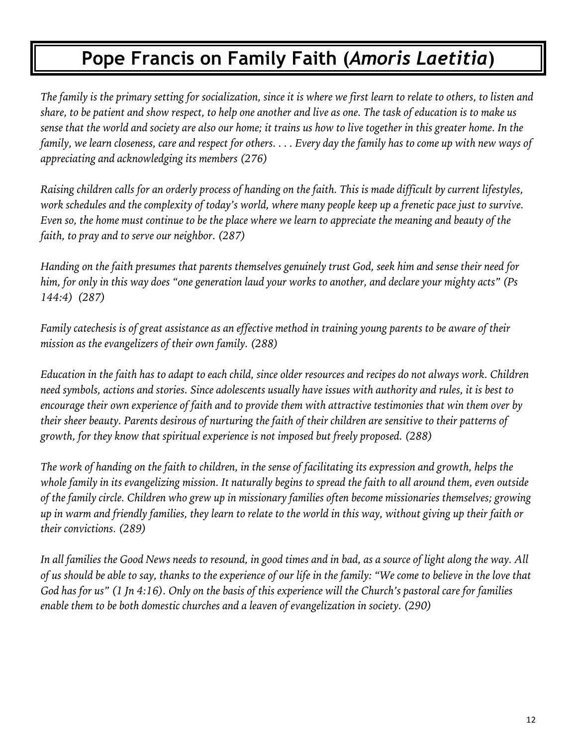# **Pope Francis on Family Faith (***Amoris Laetitia***)**

*The family is the primary setting for socialization, since it is where we first learn to relate to others, to listen and share, to be patient and show respect, to help one another and live as one. The task of education is to make us sense that the world and society are also our home; it trains us how to live together in this greater home. In the family, we learn closeness, care and respect for others. . . . Every day the family has to come up with new ways of appreciating and acknowledging its members (276)*

*Raising children calls for an orderly process of handing on the faith. This is made difficult by current lifestyles,*  work schedules and the complexity of today's world, where many people keep up a frenetic pace just to survive. *Even so, the home must continue to be the place where we learn to appreciate the meaning and beauty of the faith, to pray and to serve our neighbor. (287)*

*Handing on the faith presumes that parents themselves genuinely trust God, seek him and sense their need for him, for only in this way does "one generation laud your works to another, and declare your mighty acts" (Ps 144:4) (287)*

*Family catechesis is of great assistance as an effective method in training young parents to be aware of their mission as the evangelizers of their own family. (288)*

*Education in the faith has to adapt to each child, since older resources and recipes do not always work. Children need symbols, actions and stories. Since adolescents usually have issues with authority and rules, it is best to encourage their own experience of faith and to provide them with attractive testimonies that win them over by their sheer beauty. Parents desirous of nurturing the faith of their children are sensitive to their patterns of growth, for they know that spiritual experience is not imposed but freely proposed. (288)*

*The work of handing on the faith to children, in the sense of facilitating its expression and growth, helps the whole family in its evangelizing mission. It naturally begins to spread the faith to all around them, even outside of the family circle. Children who grew up in missionary families often become missionaries themselves; growing up in warm and friendly families, they learn to relate to the world in this way, without giving up their faith or their convictions. (289)*

*In all families the Good News needs to resound, in good times and in bad, as a source of light along the way. All of us should be able to say, thanks to the experience of our life in the family: "We come to believe in the love that God has for us" (1 Jn 4:16). Only on the basis of this experience will the Church's pastoral care for families enable them to be both domestic churches and a leaven of evangelization in society. (290)*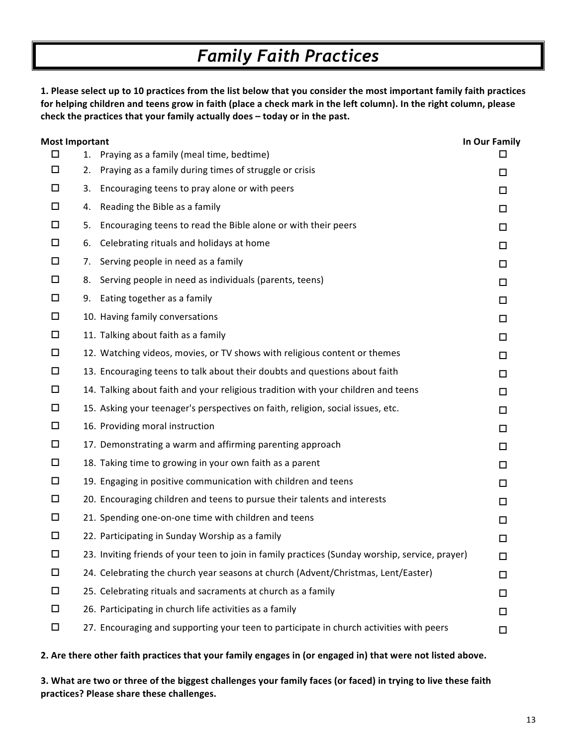# *Family Faith Practices*

1. Please select up to 10 practices from the list below that you consider the most important family faith practices for helping children and teens grow in faith (place a check mark in the left column). In the right column, please check the practices that your family actually does - today or in the past.

| <b>Most Important</b> |    |                                                                                                 | In Our Family |
|-----------------------|----|-------------------------------------------------------------------------------------------------|---------------|
| □                     | 1. | Praying as a family (meal time, bedtime)                                                        | LΙ            |
| □                     | 2. | Praying as a family during times of struggle or crisis                                          | □             |
| □                     | 3. | Encouraging teens to pray alone or with peers                                                   | □             |
| □                     | 4. | Reading the Bible as a family                                                                   | □             |
| □                     |    | 5. Encouraging teens to read the Bible alone or with their peers                                | □             |
| □                     | 6. | Celebrating rituals and holidays at home                                                        | □             |
| □                     | 7. | Serving people in need as a family                                                              | □             |
| □                     | 8. | Serving people in need as individuals (parents, teens)                                          | $\Box$        |
| □                     |    | 9. Eating together as a family                                                                  | □             |
| □                     |    | 10. Having family conversations                                                                 | $\Box$        |
| □                     |    | 11. Talking about faith as a family                                                             | $\Box$        |
| □                     |    | 12. Watching videos, movies, or TV shows with religious content or themes                       | $\Box$        |
| □                     |    | 13. Encouraging teens to talk about their doubts and questions about faith                      | $\Box$        |
| □                     |    | 14. Talking about faith and your religious tradition with your children and teens               | $\Box$        |
| □                     |    | 15. Asking your teenager's perspectives on faith, religion, social issues, etc.                 | $\Box$        |
| □                     |    | 16. Providing moral instruction                                                                 | $\Box$        |
| □                     |    | 17. Demonstrating a warm and affirming parenting approach                                       | $\Box$        |
| □                     |    | 18. Taking time to growing in your own faith as a parent                                        | $\Box$        |
| □                     |    | 19. Engaging in positive communication with children and teens                                  | $\Box$        |
| □                     |    | 20. Encouraging children and teens to pursue their talents and interests                        | □             |
| □                     |    | 21. Spending one-on-one time with children and teens                                            | $\Box$        |
| Ц                     |    | 22. Participating in Sunday Worship as a family                                                 | $\Box$        |
| П                     |    | 23. Inviting friends of your teen to join in family practices (Sunday worship, service, prayer) | $\Box$        |
| Ц                     |    | 24. Celebrating the church year seasons at church (Advent/Christmas, Lent/Easter)               | □             |
| □                     |    | 25. Celebrating rituals and sacraments at church as a family                                    | □             |
| □                     |    | 26. Participating in church life activities as a family                                         | $\Box$        |
| □                     |    | 27. Encouraging and supporting your teen to participate in church activities with peers         | □             |

#### 2. Are there other faith practices that your family engages in (or engaged in) that were not listed above.

**3.** What are two or three of the biggest challenges your family faces (or faced) in trying to live these faith practices? Please share these challenges.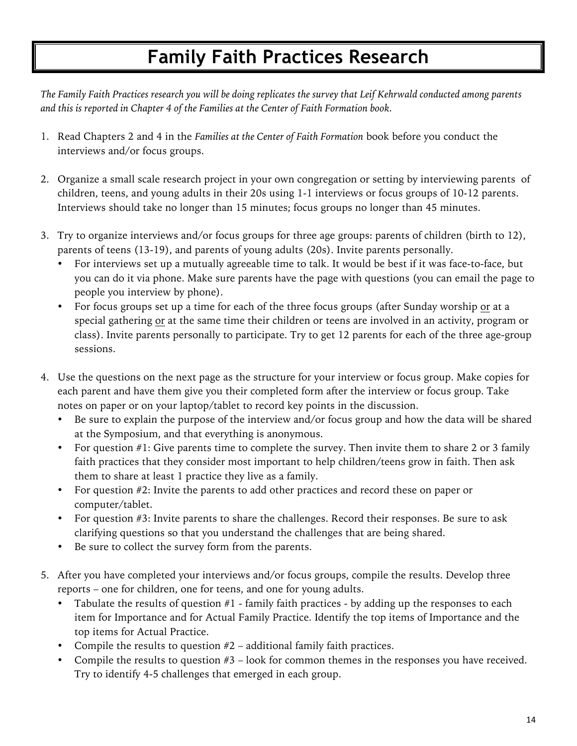# **Family Faith Practices Research**

*The Family Faith Practices research you will be doing replicates the survey that Leif Kehrwald conducted among parents and this is reported in Chapter 4 of the Families at the Center of Faith Formation book.* 

- 1. Read Chapters 2 and 4 in the *Families at the Center of Faith Formation* book before you conduct the interviews and/or focus groups.
- 2. Organize a small scale research project in your own congregation or setting by interviewing parents of children, teens, and young adults in their 20s using 1-1 interviews or focus groups of 10-12 parents. Interviews should take no longer than 15 minutes; focus groups no longer than 45 minutes.
- 3. Try to organize interviews and/or focus groups for three age groups: parents of children (birth to 12), parents of teens (13-19), and parents of young adults (20s). Invite parents personally.
	- For interviews set up a mutually agreeable time to talk. It would be best if it was face-to-face, but you can do it via phone. Make sure parents have the page with questions (you can email the page to people you interview by phone).
	- For focus groups set up a time for each of the three focus groups (after Sunday worship or at a special gathering or at the same time their children or teens are involved in an activity, program or class). Invite parents personally to participate. Try to get 12 parents for each of the three age-group sessions.
- 4. Use the questions on the next page as the structure for your interview or focus group. Make copies for each parent and have them give you their completed form after the interview or focus group. Take notes on paper or on your laptop/tablet to record key points in the discussion.
	- Be sure to explain the purpose of the interview and/or focus group and how the data will be shared at the Symposium, and that everything is anonymous.
	- For question #1: Give parents time to complete the survey. Then invite them to share 2 or 3 family faith practices that they consider most important to help children/teens grow in faith. Then ask them to share at least 1 practice they live as a family.
	- For question #2: Invite the parents to add other practices and record these on paper or computer/tablet.
	- For question #3: Invite parents to share the challenges. Record their responses. Be sure to ask clarifying questions so that you understand the challenges that are being shared.
	- Be sure to collect the survey form from the parents.
- 5. After you have completed your interviews and/or focus groups, compile the results. Develop three reports – one for children, one for teens, and one for young adults.
	- Tabulate the results of question #1 family faith practices by adding up the responses to each item for Importance and for Actual Family Practice. Identify the top items of Importance and the top items for Actual Practice.
	- Compile the results to question  $#2$  additional family faith practices.
	- Compile the results to question #3 look for common themes in the responses you have received. Try to identify 4-5 challenges that emerged in each group.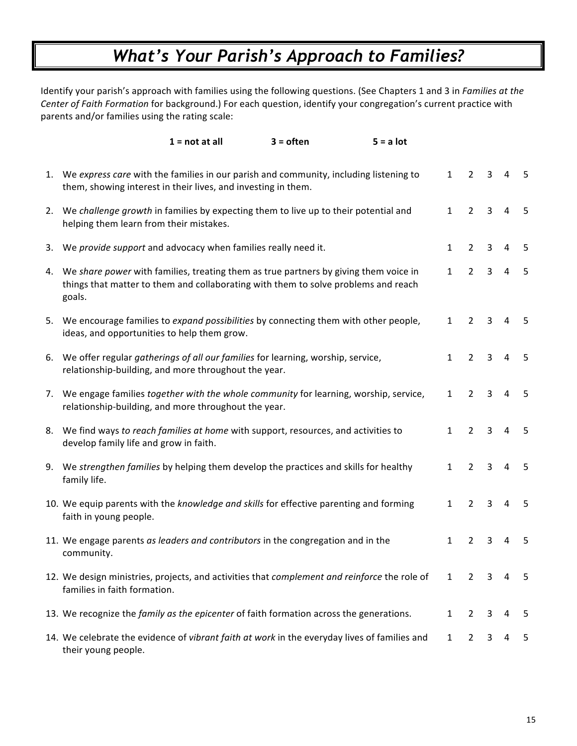# *What's Your Parish's Approach to Families?*

Identify your parish's approach with families using the following questions. (See Chapters 1 and 3 in *Families at the Center of Faith Formation* for background.) For each question, identify your congregation's current practice with parents and/or families using the rating scale:

|    |                                                                                                                                                                                         | $1 = not at all$ | $3 =$ often | $5 = a$ lot |              |                |                |                |    |
|----|-----------------------------------------------------------------------------------------------------------------------------------------------------------------------------------------|------------------|-------------|-------------|--------------|----------------|----------------|----------------|----|
|    | 1. We express care with the families in our parish and community, including listening to<br>them, showing interest in their lives, and investing in them.                               |                  |             |             | $\mathbf{1}$ | $2^{\circ}$    | 3 <sup>7</sup> | 4              | 5  |
|    | 2. We challenge growth in families by expecting them to live up to their potential and<br>helping them learn from their mistakes.                                                       |                  |             |             | $\mathbf{1}$ | $\overline{2}$ | 3 <sup>7</sup> | $\overline{4}$ | 5  |
| 3. | We provide support and advocacy when families really need it.                                                                                                                           |                  |             |             | $\mathbf{1}$ | $\overline{2}$ | 3              | $\overline{4}$ | 5  |
|    | 4. We share power with families, treating them as true partners by giving them voice in<br>things that matter to them and collaborating with them to solve problems and reach<br>goals. |                  |             |             | $\mathbf{1}$ | $\overline{2}$ | $\overline{3}$ | $\overline{4}$ | 5  |
|    | 5. We encourage families to expand possibilities by connecting them with other people,<br>ideas, and opportunities to help them grow.                                                   |                  |             |             | $\mathbf{1}$ | $\overline{2}$ | 3              | 4              | -5 |
| 6. | We offer regular gatherings of all our families for learning, worship, service,<br>relationship-building, and more throughout the year.                                                 |                  |             |             | $\mathbf{1}$ | $2^{\circ}$    | 3              | $\overline{4}$ | 5  |
|    | 7. We engage families together with the whole community for learning, worship, service,<br>relationship-building, and more throughout the year.                                         |                  |             |             | $\mathbf{1}$ | $2^{\circ}$    | 3 <sup>7</sup> | $\overline{a}$ | 5  |
|    | 8. We find ways to reach families at home with support, resources, and activities to<br>develop family life and grow in faith.                                                          |                  |             |             | $\mathbf{1}$ | $\overline{2}$ | 3              | $\overline{4}$ | 5  |
|    | 9. We strengthen families by helping them develop the practices and skills for healthy<br>family life.                                                                                  |                  |             |             | $\mathbf{1}$ | $\overline{2}$ | 3              | 4              | 5  |
|    | 10. We equip parents with the knowledge and skills for effective parenting and forming<br>faith in young people.                                                                        |                  |             |             | $\mathbf{1}$ | $\overline{2}$ | 3              | 4              | 5  |
|    | 11. We engage parents as leaders and contributors in the congregation and in the<br>community.                                                                                          |                  |             |             | $\mathbf{1}$ | $\overline{2}$ | 3              | 4              | 5  |
|    | 12. We design ministries, projects, and activities that complement and reinforce the role of<br>families in faith formation.                                                            |                  |             |             | $\mathbf{1}$ | 2              | 3              |                | 5  |
|    | 13. We recognize the family as the epicenter of faith formation across the generations.                                                                                                 |                  |             |             | $\mathbf{1}$ | $\overline{2}$ | 3              | 4              | -5 |
|    | 14. We celebrate the evidence of vibrant faith at work in the everyday lives of families and<br>their young people.                                                                     |                  |             |             | $\mathbf{1}$ | $\overline{2}$ | 3              | 4              | 5  |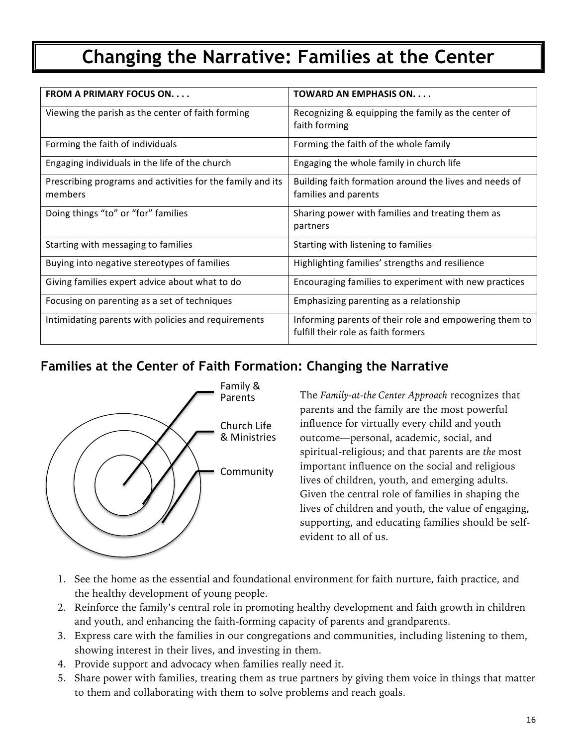# **Changing the Narrative: Families at the Center**

| <b>FROM A PRIMARY FOCUS ON</b>                                        | <b>TOWARD AN EMPHASIS ON</b>                                                                  |
|-----------------------------------------------------------------------|-----------------------------------------------------------------------------------------------|
| Viewing the parish as the center of faith forming                     | Recognizing & equipping the family as the center of<br>faith forming                          |
| Forming the faith of individuals                                      | Forming the faith of the whole family                                                         |
| Engaging individuals in the life of the church                        | Engaging the whole family in church life                                                      |
| Prescribing programs and activities for the family and its<br>members | Building faith formation around the lives and needs of<br>families and parents                |
| Doing things "to" or "for" families                                   | Sharing power with families and treating them as<br>partners                                  |
| Starting with messaging to families                                   | Starting with listening to families                                                           |
| Buying into negative stereotypes of families                          | Highlighting families' strengths and resilience                                               |
| Giving families expert advice about what to do                        | Encouraging families to experiment with new practices                                         |
| Focusing on parenting as a set of techniques                          | Emphasizing parenting as a relationship                                                       |
| Intimidating parents with policies and requirements                   | Informing parents of their role and empowering them to<br>fulfill their role as faith formers |

### **Families at the Center of Faith Formation: Changing the Narrative**



The *Family-at-the Center Approach* recognizes that parents and the family are the most powerful influence for virtually every child and youth outcome—personal, academic, social, and spiritual-religious; and that parents are *the* most important influence on the social and religious lives of children, youth, and emerging adults. Given the central role of families in shaping the lives of children and youth, the value of engaging, supporting, and educating families should be selfevident to all of us.

- 1. See the home as the essential and foundational environment for faith nurture, faith practice, and the healthy development of young people.
- 2. Reinforce the family's central role in promoting healthy development and faith growth in children and youth, and enhancing the faith-forming capacity of parents and grandparents.
- 3. Express care with the families in our congregations and communities, including listening to them, showing interest in their lives, and investing in them.
- 4. Provide support and advocacy when families really need it.
- 5. Share power with families, treating them as true partners by giving them voice in things that matter to them and collaborating with them to solve problems and reach goals.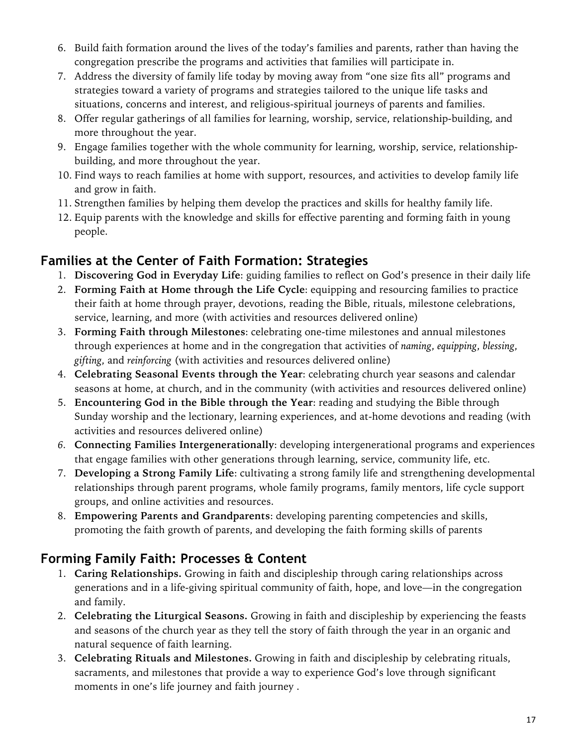- 6. Build faith formation around the lives of the today's families and parents, rather than having the congregation prescribe the programs and activities that families will participate in.
- 7. Address the diversity of family life today by moving away from "one size fits all" programs and strategies toward a variety of programs and strategies tailored to the unique life tasks and situations, concerns and interest, and religious-spiritual journeys of parents and families.
- 8. Offer regular gatherings of all families for learning, worship, service, relationship-building, and more throughout the year.
- 9. Engage families together with the whole community for learning, worship, service, relationshipbuilding, and more throughout the year.
- 10. Find ways to reach families at home with support, resources, and activities to develop family life and grow in faith.
- 11. Strengthen families by helping them develop the practices and skills for healthy family life.
- 12. Equip parents with the knowledge and skills for effective parenting and forming faith in young people.

### **Families at the Center of Faith Formation: Strategies**

- 1. **Discovering God in Everyday Life**: guiding families to reflect on God's presence in their daily life
- 2. **Forming Faith at Home through the Life Cycle**: equipping and resourcing families to practice their faith at home through prayer, devotions, reading the Bible, rituals, milestone celebrations, service, learning, and more (with activities and resources delivered online)
- 3. **Forming Faith through Milestones**: celebrating one-time milestones and annual milestones through experiences at home and in the congregation that activities of *naming*, *equipping*, *blessing*, *gifting*, and *reinforcing* (with activities and resources delivered online)
- 4. **Celebrating Seasonal Events through the Year**: celebrating church year seasons and calendar seasons at home, at church, and in the community (with activities and resources delivered online)
- 5. **Encountering God in the Bible through the Year**: reading and studying the Bible through Sunday worship and the lectionary, learning experiences, and at-home devotions and reading (with activities and resources delivered online)
- *6.* **Connecting Families Intergenerationally**: developing intergenerational programs and experiences that engage families with other generations through learning, service, community life, etc.
- 7. **Developing a Strong Family Life**: cultivating a strong family life and strengthening developmental relationships through parent programs, whole family programs, family mentors, life cycle support groups, and online activities and resources.
- 8. **Empowering Parents and Grandparents**: developing parenting competencies and skills, promoting the faith growth of parents, and developing the faith forming skills of parents

# **Forming Family Faith: Processes & Content**

- 1. **Caring Relationships.** Growing in faith and discipleship through caring relationships across generations and in a life-giving spiritual community of faith, hope, and love—in the congregation and family.
- 2. **Celebrating the Liturgical Seasons.** Growing in faith and discipleship by experiencing the feasts and seasons of the church year as they tell the story of faith through the year in an organic and natural sequence of faith learning.
- 3. **Celebrating Rituals and Milestones.** Growing in faith and discipleship by celebrating rituals, sacraments, and milestones that provide a way to experience God's love through significant moments in one's life journey and faith journey .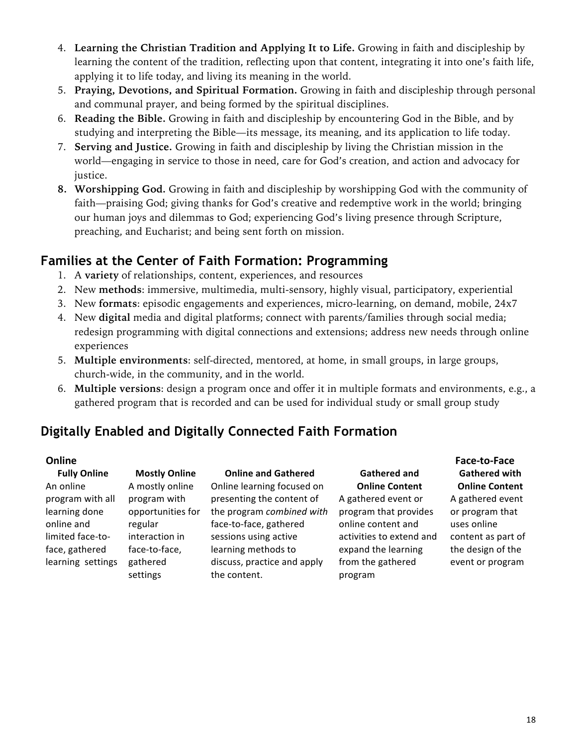- 4. **Learning the Christian Tradition and Applying It to Life.** Growing in faith and discipleship by learning the content of the tradition, reflecting upon that content, integrating it into one's faith life, applying it to life today, and living its meaning in the world.
- 5. **Praying, Devotions, and Spiritual Formation.** Growing in faith and discipleship through personal and communal prayer, and being formed by the spiritual disciplines.
- 6. **Reading the Bible.** Growing in faith and discipleship by encountering God in the Bible, and by studying and interpreting the Bible—its message, its meaning, and its application to life today.
- 7. **Serving and Justice.** Growing in faith and discipleship by living the Christian mission in the world—engaging in service to those in need, care for God's creation, and action and advocacy for justice.
- **8. Worshipping God.** Growing in faith and discipleship by worshipping God with the community of faith—praising God; giving thanks for God's creative and redemptive work in the world; bringing our human joys and dilemmas to God; experiencing God's living presence through Scripture, preaching, and Eucharist; and being sent forth on mission.

### **Families at the Center of Faith Formation: Programming**

- 1. A **variety** of relationships, content, experiences, and resources
- 2. New **methods**: immersive, multimedia, multi-sensory, highly visual, participatory, experiential
- 3. New **formats**: episodic engagements and experiences, micro-learning, on demand, mobile, 24x7
- 4. New **digital** media and digital platforms; connect with parents/families through social media; redesign programming with digital connections and extensions; address new needs through online experiences
- 5. **Multiple environments**: self-directed, mentored, at home, in small groups, in large groups, church-wide, in the community, and in the world.
- 6. **Multiple versions**: design a program once and offer it in multiple formats and environments, e.g., a gathered program that is recorded and can be used for individual study or small group study

# **Digitally Enabled and Digitally Connected Faith Formation**

**Fully Online** An online program with all learning done online and limited face-toface, gathered learning settings **Mostly Online** A mostly online program with opportunities for regular interaction in face-to-face, gathered settings **Online and Gathered** Online learning focused on presenting the content of the program *combined* with face-to-face, gathered sessions using active learning methods to discuss, practice and apply the content.

Gathered and **Online Content** A gathered event or program that provides online content and activities to extend and expand the learning from the gathered

program

**Online CONLINE CONFIDENTIAL CONFIDENTIAL CONFIDENTIAL CONFIDENTIAL CONFIDENTIAL CONFIDENTIAL CONFIDENTIAL CONFIDENTIAL CONFIDENTIAL CONFIDENTIAL CONFIDENTIAL CONFIDENTIAL CONFIDENTIAL CONFIDENTIAL CONFIDENTIAL CONFIDENT** Gathered with **Online Content** A gathered event or program that uses online content as part of the design of the event or program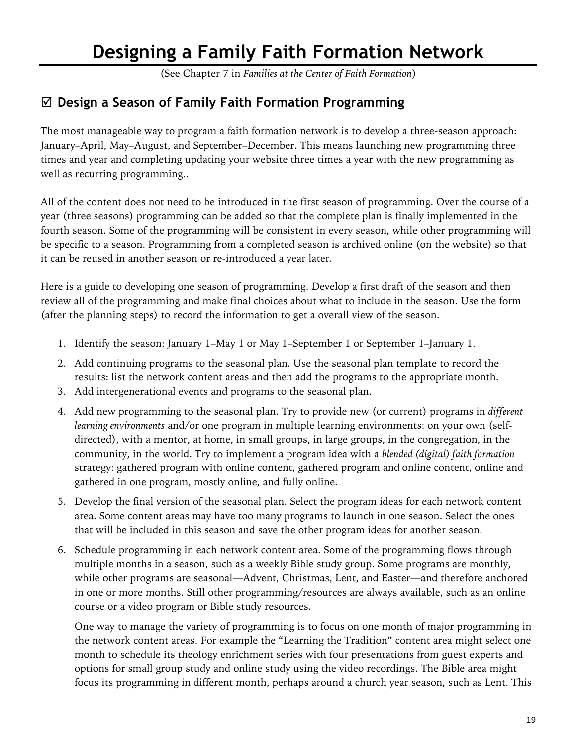# **Designing a Family Faith Formation Network**

(See Chapter 7 in *Families at the Center of Faith Formation*)

### þ **Design a Season of Family Faith Formation Programming**

The most manageable way to program a faith formation network is to develop a three-season approach: January–April, May–August, and September–December. This means launching new programming three times and year and completing updating your website three times a year with the new programming as well as recurring programming..

All of the content does not need to be introduced in the first season of programming. Over the course of a year (three seasons) programming can be added so that the complete plan is finally implemented in the fourth season. Some of the programming will be consistent in every season, while other programming will be specific to a season. Programming from a completed season is archived online (on the website) so that it can be reused in another season or re-introduced a year later.

Here is a guide to developing one season of programming. Develop a first draft of the season and then review all of the programming and make final choices about what to include in the season. Use the form (after the planning steps) to record the information to get a overall view of the season.

- 1. Identify the season: January 1–May 1 or May 1–September 1 or September 1–January 1.
- 2. Add continuing programs to the seasonal plan. Use the seasonal plan template to record the results: list the network content areas and then add the programs to the appropriate month.
- 3. Add intergenerational events and programs to the seasonal plan.
- 4. Add new programming to the seasonal plan. Try to provide new (or current) programs in *different learning environments* and/or one program in multiple learning environments: on your own (selfdirected), with a mentor, at home, in small groups, in large groups, in the congregation, in the community, in the world. Try to implement a program idea with a *blended (digital) faith formation* strategy: gathered program with online content, gathered program and online content, online and gathered in one program, mostly online, and fully online.
- 5. Develop the final version of the seasonal plan. Select the program ideas for each network content area. Some content areas may have too many programs to launch in one season. Select the ones that will be included in this season and save the other program ideas for another season.
- 6. Schedule programming in each network content area. Some of the programming flows through multiple months in a season, such as a weekly Bible study group. Some programs are monthly, while other programs are seasonal—Advent, Christmas, Lent, and Easter—and therefore anchored in one or more months. Still other programming/resources are always available, such as an online course or a video program or Bible study resources.

One way to manage the variety of programming is to focus on one month of major programming in the network content areas. For example the "Learning the Tradition" content area might select one month to schedule its theology enrichment series with four presentations from guest experts and options for small group study and online study using the video recordings. The Bible area might focus its programming in different month, perhaps around a church year season, such as Lent. This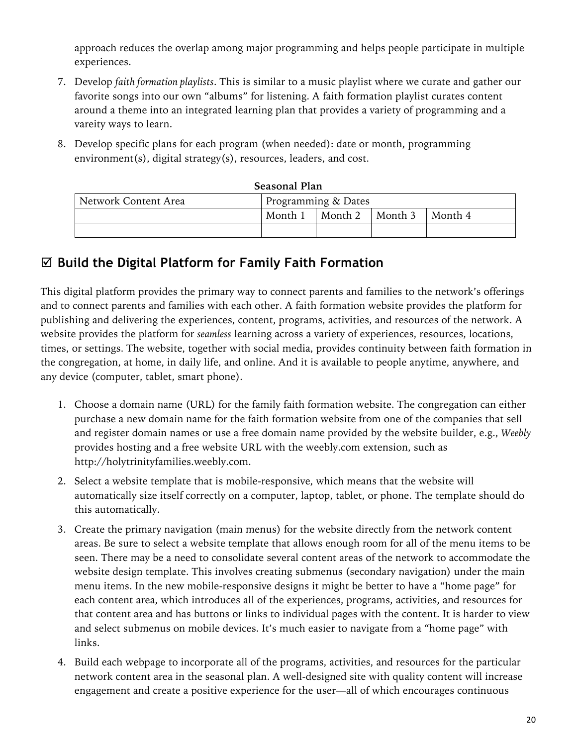approach reduces the overlap among major programming and helps people participate in multiple experiences.

- 7. Develop *faith formation playlists*. This is similar to a music playlist where we curate and gather our favorite songs into our own "albums" for listening. A faith formation playlist curates content around a theme into an integrated learning plan that provides a variety of programming and a vareity ways to learn.
- 8. Develop specific plans for each program (when needed): date or month, programming environment(s), digital strategy(s), resources, leaders, and cost.

| Seasonal Plan        |                     |         |         |         |  |  |
|----------------------|---------------------|---------|---------|---------|--|--|
| Network Content Area | Programming & Dates |         |         |         |  |  |
|                      | Month 1             | Month 2 | Month 3 | Month 4 |  |  |
|                      |                     |         |         |         |  |  |

### þ **Build the Digital Platform for Family Faith Formation**

This digital platform provides the primary way to connect parents and families to the network's offerings and to connect parents and families with each other. A faith formation website provides the platform for publishing and delivering the experiences, content, programs, activities, and resources of the network. A website provides the platform for *seamless* learning across a variety of experiences, resources, locations, times, or settings. The website, together with social media, provides continuity between faith formation in the congregation, at home, in daily life, and online. And it is available to people anytime, anywhere, and any device (computer, tablet, smart phone).

- 1. Choose a domain name (URL) for the family faith formation website. The congregation can either purchase a new domain name for the faith formation website from one of the companies that sell and register domain names or use a free domain name provided by the website builder, e.g., *Weebly* provides hosting and a free website URL with the weebly.com extension, such as http://holytrinityfamilies.weebly.com.
- 2. Select a website template that is mobile-responsive, which means that the website will automatically size itself correctly on a computer, laptop, tablet, or phone. The template should do this automatically.
- 3. Create the primary navigation (main menus) for the website directly from the network content areas. Be sure to select a website template that allows enough room for all of the menu items to be seen. There may be a need to consolidate several content areas of the network to accommodate the website design template. This involves creating submenus (secondary navigation) under the main menu items. In the new mobile-responsive designs it might be better to have a "home page" for each content area, which introduces all of the experiences, programs, activities, and resources for that content area and has buttons or links to individual pages with the content. It is harder to view and select submenus on mobile devices. It's much easier to navigate from a "home page" with links.
- 4. Build each webpage to incorporate all of the programs, activities, and resources for the particular network content area in the seasonal plan. A well-designed site with quality content will increase engagement and create a positive experience for the user—all of which encourages continuous